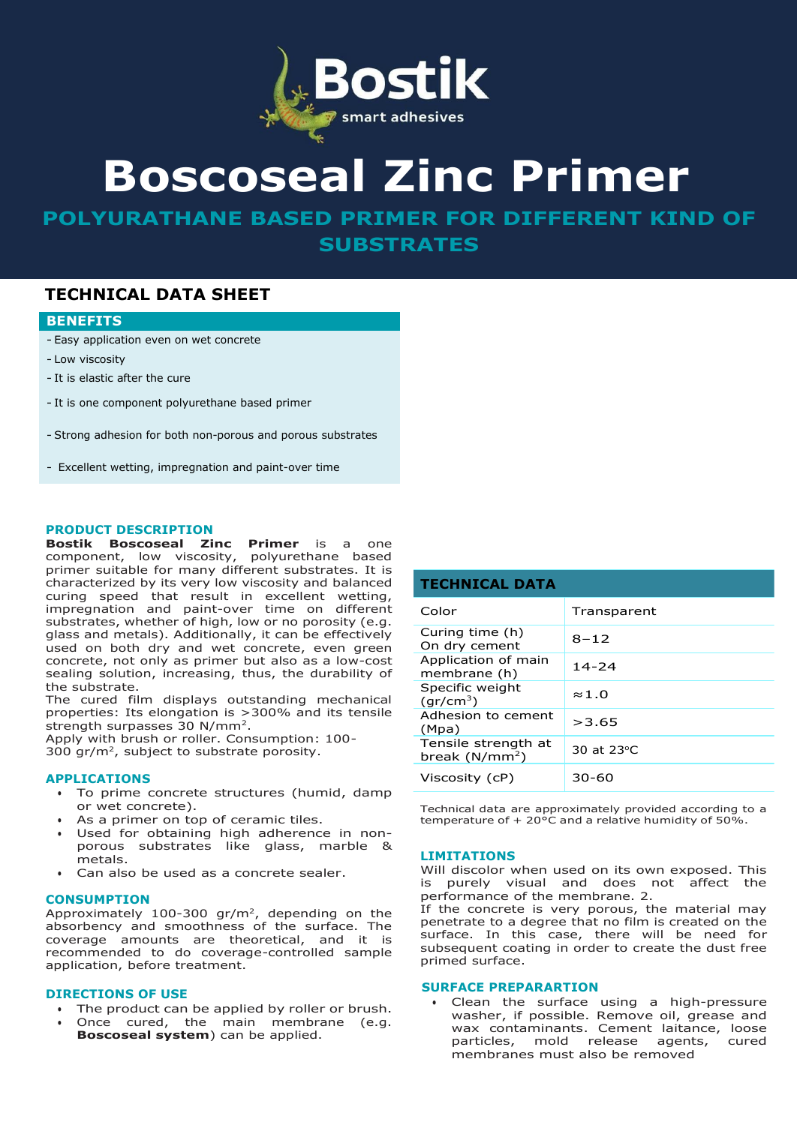

# **Boscoseal Zinc Primer**

**POLYURATHANE BASED PRIMER FOR DIFFERENT KIND OF SUBSTRATES**

# **TECHNICAL DATA SHEET**

# **BENEFITS**

- Easy application even on wet concrete
- Low viscosity
- It is elastic after the cure
- It is one component polyurethane based primer
- Strong adhesion for both non-porous and porous substrates
- Excellent wetting, impregnation and paint-over time

### **PRODUCT DESCRIPTION**

**Bostik Boscoseal Zinc Primer** is a one component, low viscosity, polyurethane based primer suitable for many different substrates. It is characterized by its very low viscosity and balanced curing speed that result in excellent wetting, impregnation and paint-over time on different substrates, whether of high, low or no porosity (e.g. glass and metals). Additionally, it can be effectively used on both dry and wet concrete, even green concrete, not only as primer but also as a low-cost sealing solution, increasing, thus, the durability of the substrate.

The cured film displays outstanding mechanical properties: Its elongation is >300% and its tensile strength surpasses 30 N/mm<sup>2</sup>.

Apply with brush or roller. Consumption: 100-  $300$  gr/m<sup>2</sup>, subject to substrate porosity.

#### **APPLICATIONS**

- To prime concrete structures (humid, damp or wet concrete).
- As a primer on top of ceramic tiles.
- Used for obtaining high adherence in nonporous substrates like glass, marble & metals.
- Can also be used as a concrete sealer.

#### **CONSUMPTION**

Approximately  $100-300$  gr/m<sup>2</sup>, depending on the absorbency and smoothness of the surface. The coverage amounts are theoretical, and it is recommended to do coverage-controlled sample application, before treatment.

# **DIRECTIONS OF USE**

- The product can be applied by roller or brush.
- Once cured, the main membrane (e.g. **Boscoseal system**) can be applied.

| <b>TECHNICAL DATA</b>                    |               |
|------------------------------------------|---------------|
| Color                                    | Transparent   |
| Curing time (h)<br>On dry cement         | $8 - 12$      |
| Application of main<br>membrane (h)      | $14 - 24$     |
| Specific weight<br>(gr/cm <sup>3</sup> ) | $\approx$ 1.0 |
| Adhesion to cement<br>(Mpa)              | >3.65         |
| Tensile strength at<br>break $(N/mm2)$   | 30 at 23 °C   |
| Viscosity (cP)                           | 30-60         |

Technical data are approximately provided according to a temperature of + 20°C and a relative humidity of 50%.

# **LIMITATIONS**

Will discolor when used on its own exposed. This is purely visual and does not affect the performance of the membrane. 2.

If the concrete is very porous, the material may penetrate to a degree that no film is created on the surface. In this case, there will be need for subsequent coating in order to create the dust free primed surface.

# **SURFACE PREPARARTION**

• Clean the surface using a high-pressure washer, if possible. Remove oil, grease and wax contaminants. Cement laitance, loose particles, mold release agents, cured membranes must also be removed